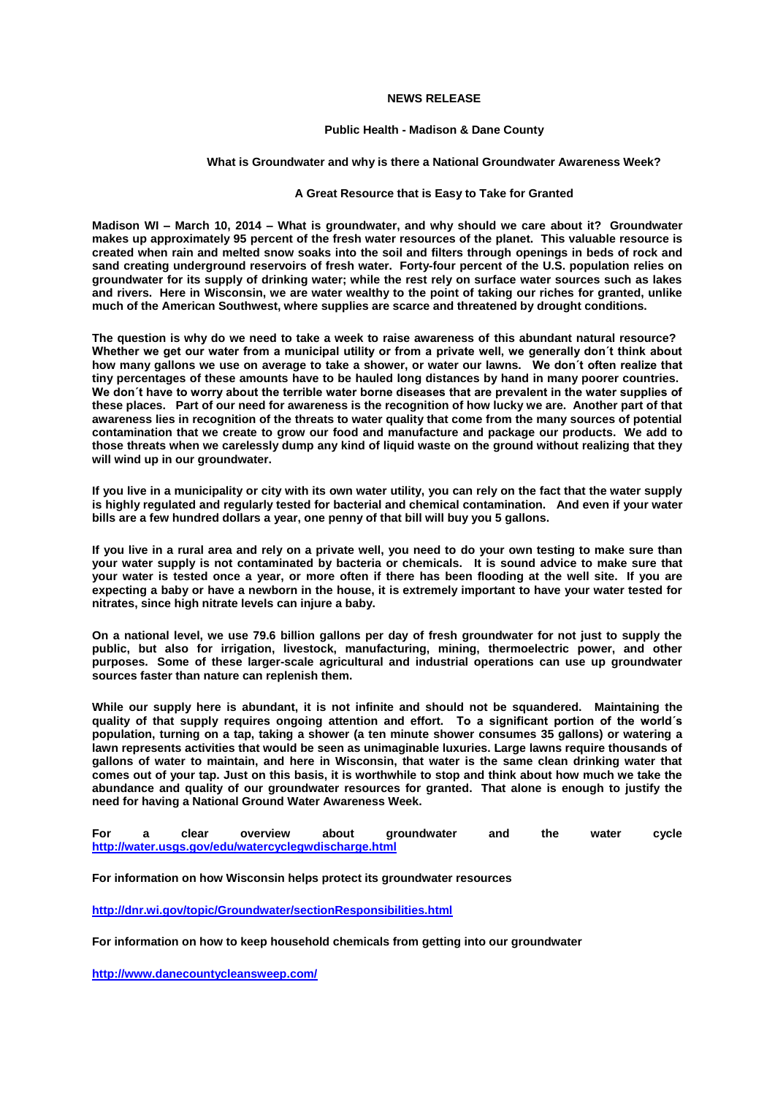## **NEWS RELEASE**

## **Public Health - Madison & Dane County**

## **What is Groundwater and why is there a National Groundwater Awareness Week?**

## **A Great Resource that is Easy to Take for Granted**

**Madison WI – March 10, 2014 – What is groundwater, and why should we care about it? Groundwater makes up approximately 95 percent of the fresh water resources of the planet. This valuable resource is created when rain and melted snow soaks into the soil and filters through openings in beds of rock and sand creating underground reservoirs of fresh water. Forty-four percent of the U.S. population relies on groundwater for its supply of drinking water; while the rest rely on surface water sources such as lakes and rivers. Here in Wisconsin, we are water wealthy to the point of taking our riches for granted, unlike much of the American Southwest, where supplies are scarce and threatened by drought conditions.**

**The question is why do we need to take a week to raise awareness of this abundant natural resource? Whether we get our water from a municipal utility or from a private well, we generally don´t think about how many gallons we use on average to take a shower, or water our lawns. We don´t often realize that tiny percentages of these amounts have to be hauled long distances by hand in many poorer countries. We don´t have to worry about the terrible water borne diseases that are prevalent in the water supplies of these places. Part of our need for awareness is the recognition of how lucky we are. Another part of that awareness lies in recognition of the threats to water quality that come from the many sources of potential contamination that we create to grow our food and manufacture and package our products. We add to those threats when we carelessly dump any kind of liquid waste on the ground without realizing that they will wind up in our groundwater.**

**If you live in a municipality or city with its own water utility, you can rely on the fact that the water supply is highly regulated and regularly tested for bacterial and chemical contamination. And even if your water bills are a few hundred dollars a year, one penny of that bill will buy you 5 gallons.**

**If you live in a rural area and rely on a private well, you need to do your own testing to make sure than your water supply is not contaminated by bacteria or chemicals. It is sound advice to make sure that your water is tested once a year, or more often if there has been flooding at the well site. If you are expecting a baby or have a newborn in the house, it is extremely important to have your water tested for nitrates, since high nitrate levels can injure a baby.** 

**On a national level, we use 79.6 billion gallons per day of fresh groundwater for not just to supply the public, but also for irrigation, livestock, manufacturing, mining, thermoelectric power, and other purposes. Some of these larger-scale agricultural and industrial operations can use up groundwater sources faster than nature can replenish them.**

**While our supply here is abundant, it is not infinite and should not be squandered. Maintaining the quality of that supply requires ongoing attention and effort. To a significant portion of the world´s population, turning on a tap, taking a shower (a ten minute shower consumes 35 gallons) or watering a lawn represents activities that would be seen as unimaginable luxuries. Large lawns require thousands of gallons of water to maintain, and here in Wisconsin, that water is the same clean drinking water that comes out of your tap. Just on this basis, it is worthwhile to stop and think about how much we take the abundance and quality of our groundwater resources for granted. That alone is enough to justify the need for having a National Ground Water Awareness Week.** 

**For a clear overview about groundwater and the water cycle <http://water.usgs.gov/edu/watercyclegwdischarge.html>**

**For information on how Wisconsin helps protect its groundwater resources**

**<http://dnr.wi.gov/topic/Groundwater/sectionResponsibilities.html>**

**For information on how to keep household chemicals from getting into our groundwater**

**<http://www.danecountycleansweep.com/>**